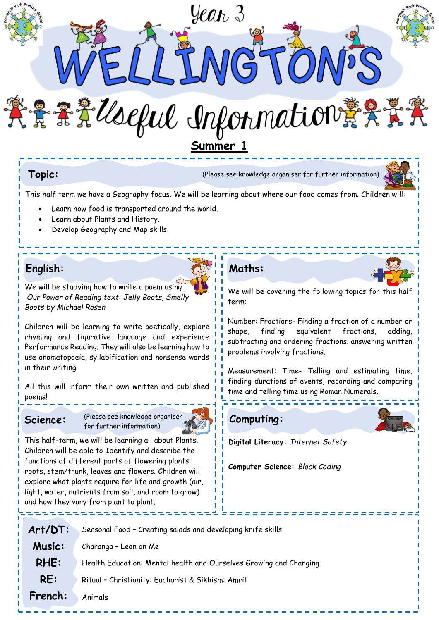

**Topic:** (Please see knowledge organiser for further information)



This half term we have a Geography focus. We will be learning about where our food comes from. Children will:

- Learn how food is transported around the world.
- Learn about Plants and History.
- Develop Geography and Map skills.

# **English:**

We will be studying how to write a poem using *Our Power of Reading text: Jelly Boots, Smelly Boots by Michael Rosen* 

Children will be learning to write poetically, explore rhyming and figurative language and experience Performance Reading. They will also be learning how to use onomatopoeia, syllabification and nonsense words in their writing.

All this will inform their own written and published poems!

Science: (Please see knowledge organiser for further information)



This half-term, we will be learning all about Plants. Children will be able to Identify and describe the functions of different parts of flowering plants: roots, stem/trunk, leaves and flowers. Children will explore what plants require for life and growth (air, light, water, nutrients from soil, and room to grow) and how they vary from plant to plant.

# **Maths:**

We will be covering the following topics for this half term:

Number: Fractions- Finding a fraction of a number or shape, finding equivalent fractions, adding, subtracting and ordering fractions. answering written problems involving fractions.

Measurement: Time- Telling and estimating time, finding durations of events, recording and comparing time and telling time using Roman Numerals.





**Digital Literacy:** *Internet Safety*

**Computer Science:** *Block Coding*

| $Art/DT$ :    | Seasonal Food - Creating salads and developing knife skills        |
|---------------|--------------------------------------------------------------------|
| <b>Music:</b> | Charanga - Lean on Me                                              |
| RHE:          | Health Education: Mental health and Ourselves Growing and Changing |
| RE:           | Ritual - Christianity: Eucharist & Sikhism: Amrit                  |
| French:       | Animals                                                            |